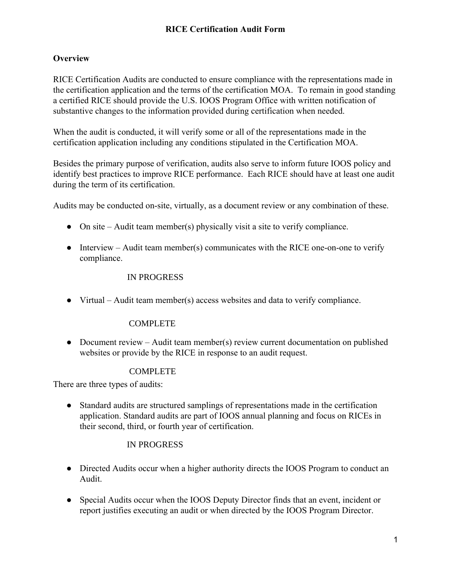## **Overview**

RICE Certification Audits are conducted to ensure compliance with the representations made in the certification application and the terms of the certification MOA. To remain in good standing a certified RICE should provide the U.S. IOOS Program Office with written notification of substantive changes to the information provided during certification when needed.

When the audit is conducted, it will verify some or all of the representations made in the certification application including any conditions stipulated in the Certification MOA.

Besides the primary purpose of verification, audits also serve to inform future IOOS policy and identify best practices to improve RICE performance. Each RICE should have at least one audit during the term of its certification.

Audits may be conducted on-site, virtually, as a document review or any combination of these.

- On site Audit team member(s) physically visit a site to verify compliance.
- $\bullet$  Interview Audit team member(s) communicates with the RICE one-on-one to verify compliance.

### IN PROGRESS

● Virtual – Audit team member(s) access websites and data to verify compliance.

## **COMPLETE**

• Document review – Audit team member(s) review current documentation on published websites or provide by the RICE in response to an audit request.

## COMPLETE

There are three types of audits:

● Standard audits are structured samplings of representations made in the certification application. Standard audits are part of IOOS annual planning and focus on RICEs in their second, third, or fourth year of certification.

## IN PROGRESS

- Directed Audits occur when a higher authority directs the IOOS Program to conduct an Audit.
- Special Audits occur when the IOOS Deputy Director finds that an event, incident or report justifies executing an audit or when directed by the IOOS Program Director.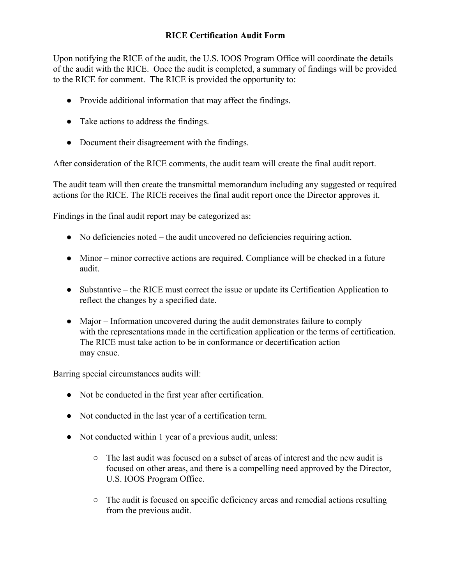Upon notifying the RICE of the audit, the U.S. IOOS Program Office will coordinate the details of the audit with the RICE. Once the audit is completed, a summary of findings will be provided to the RICE for comment. The RICE is provided the opportunity to:

- Provide additional information that may affect the findings.
- Take actions to address the findings.
- Document their disagreement with the findings.

After consideration of the RICE comments, the audit team will create the final audit report.

The audit team will then create the transmittal memorandum including any suggested or required actions for the RICE. The RICE receives the final audit report once the Director approves it.

Findings in the final audit report may be categorized as:

- $\bullet$  No deficiencies noted the audit uncovered no deficiencies requiring action.
- Minor minor corrective actions are required. Compliance will be checked in a future audit.
- Substantive the RICE must correct the issue or update its Certification Application to reflect the changes by a specified date.
- Major Information uncovered during the audit demonstrates failure to comply with the representations made in the certification application or the terms of certification. The RICE must take action to be in conformance or decertification action may ensue.

Barring special circumstances audits will:

- Not be conducted in the first year after certification.
- Not conducted in the last year of a certification term.
- Not conducted within 1 year of a previous audit, unless:
	- $\circ$  The last audit was focused on a subset of areas of interest and the new audit is focused on other areas, and there is a compelling need approved by the Director, U.S. IOOS Program Office.
	- The audit is focused on specific deficiency areas and remedial actions resulting from the previous audit.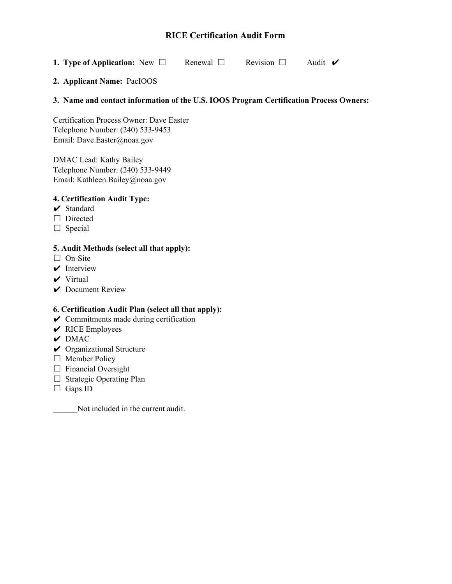**1. Type of Application:** New □ Renewal □ Revision □ Audit ✔

#### **2. Applicant Name:** PacIOOS

#### **3. Name and contact information of the U.S. IOOS Program Certification Process Owners:**

Certification Process Owner: Dave Easter Telephone Number: (240) 533-9453 Email: Dave.Easter@noaa.gov

DMAC Lead: Kathy Bailey Telephone Number: (240) 533-9449 Email: Kathleen.Bailey@noaa.gov

#### **4. Certification Audit Type:**

- ✔ Standard
- □ Directed
- $\Box$  Special

#### **5. Audit Methods (select all that apply):**

- □ On-Site
- $\vee$  Interview
- $\vee$  Virtual
- $\vee$  Document Review

#### **6. Certification Audit Plan (select all that apply):**

- $\vee$  Commitments made during certification
- $\vee$  RICE Employees
- $\vee$  DMAC
- $\vee$  Organizational Structure
- □ Member Policy
- $\Box$  Financial Oversight
- □ Strategic Operating Plan
- □ Gaps ID

Not included in the current audit.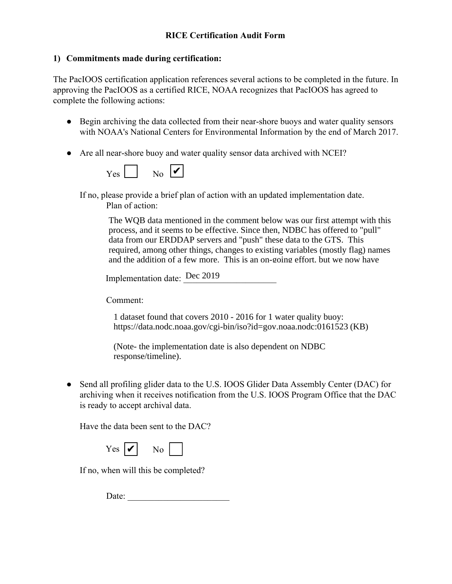## **1) Commitments made during certification:**

The PacIOOS certification application references several actions to be completed in the future. In approving the PacIOOS as a certified RICE, NOAA recognizes that PacIOOS has agreed to complete the following actions:

- Begin archiving the data collected from their near-shore buoys and water quality sensors with NOAA's National Centers for Environmental Information by the end of March 2017.
- Are all near-shore buoy and water quality sensor data archived with NCEI?



If no, please provide a brief plan of action with an updated implementation date. Plan of action:

> The WQB data mentioned in the comment below was our first attempt with this process, and it seems to be effective. Since then, NDBC has offered to "pull" data from our ERDDAP servers and "push" these data to the GTS. This required, among other things, changes to existing variables (mostly flag) names and the addition of a few more. This is an on-going effort, but we now have

Implementation date: Dec 2019  $\mathcal{D}$  at  $\mathcal{D}$  and  $\mathcal{D}$ mplementation date:  $\frac{\text{Dec } 2019}{\text{Dec } 2019}$ 

Comment:

Our step-wise plan is now: 1) await final word from NDBC that our test data 1 dataset found that covers 2010 - 2016 for 1 water quality buoy: https://data.nodc.noaa.gov/cgi-bin/iso?id=gov.noaa.nodc:0161523 (KB)

(Note- the implementation date is also dependent on NDBC response/timeline).

• Send all profiling glider data to the U.S. IOOS Glider Data Assembly Center (DAC) for archiving when it receives notification from the U.S. IOOS Program Office that the DAC is ready to accept archival data.

Have the data been sent to the DAC?

| ∸∾ | v |  |  |  |
|----|---|--|--|--|
|----|---|--|--|--|

If no, when will this be completed?

Date: \_\_\_\_\_\_\_\_\_\_\_\_\_\_\_\_\_\_\_\_\_\_\_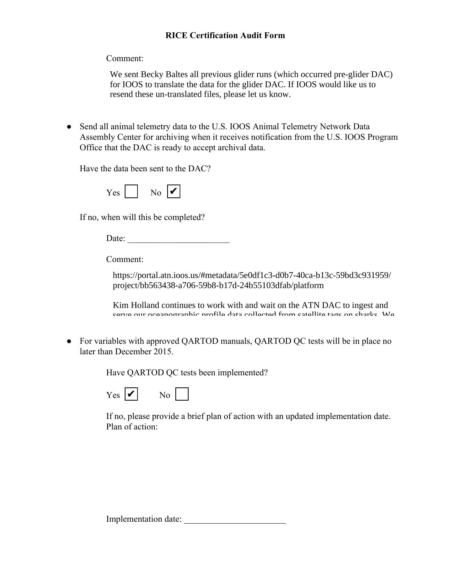Comment:

We sent Becky Baltes all previous glider runs (which occurred pre-glider DAC) for IOOS to translate the data for the glider DAC. If IOOS would like us to resend these un-translated files, please let us know.

● Send all animal telemetry data to the U.S. IOOS Animal Telemetry Network Data Assembly Center for archiving when it receives notification from the U.S. IOOS Program Office that the DAC is ready to accept archival data.

Have the data been sent to the DAC?

| $\sim$ |  |  | и |
|--------|--|--|---|
|--------|--|--|---|

If no, when will this be completed?

Date:

Comment:

https://portal.atn.ioos.us/#metadata/5e0df1c3-d0b7-40ca-b13c-59bd3c931959/ project/bb563438-a706-59b8-b17d-24b55103dfab/platform

Kim Holland continues to work with and wait on the ATN DAC to ingest and serve our oceanographic profile data collected from satellite tags on sharks. We

• For variables with approved QARTOD manuals, QARTOD QC tests will be in place no later than December 2015.  $\begin{bmatrix} 1 & 1 \end{bmatrix}$  is ready to intervention in real-time. The data collected in real-time. The data collected in real-time. The data collected in real-time. The data collected in real-time. The data collected in real-tim

Have QARTOD QC tests been implemented?



If no, please provide a brief plan of action with an updated implementation date. Plan of action:

Implementation date: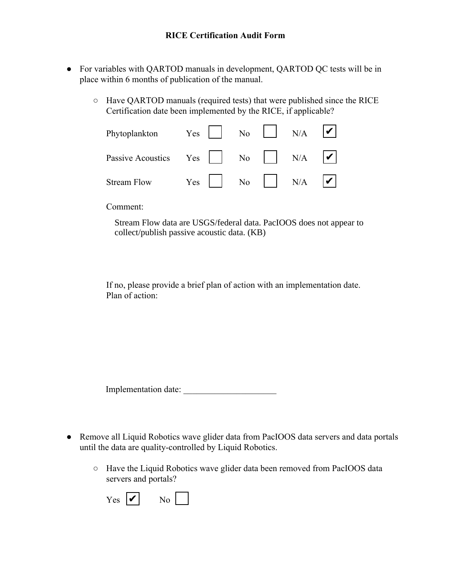- For variables with QARTOD manuals in development, QARTOD QC tests will be in place within 6 months of publication of the manual.
	- Have QARTOD manuals (required tests) that were published since the RICE Certification date been implemented by the RICE, if applicable?

| Phytoplankton Yes No N/A $\triangleright$         |                                      |  |  |
|---------------------------------------------------|--------------------------------------|--|--|
| Passive Acoustics Yes $\Box$ No $\Box$ N/A $\Box$ |                                      |  |  |
| <b>Stream Flow</b>                                | Yes $N_o$ $N/A$ $\overrightarrow{V}$ |  |  |

Comment:

Stream Flow data are USGS/federal data. PacIOOS does not appear to collect/publish passive acoustic data. (KB)

If no, please provide a brief plan of action with an implementation date. Plan of action:

Implementation date: \_\_\_\_\_\_\_\_\_\_\_\_\_\_\_\_\_\_\_\_\_

- Remove all Liquid Robotics wave glider data from PacIOOS data servers and data portals until the data are quality-controlled by Liquid Robotics.
	- Have the Liquid Robotics wave glider data been removed from PacIOOS data servers and portals?

| Yes.<br>и | Nο |
|-----------|----|
|-----------|----|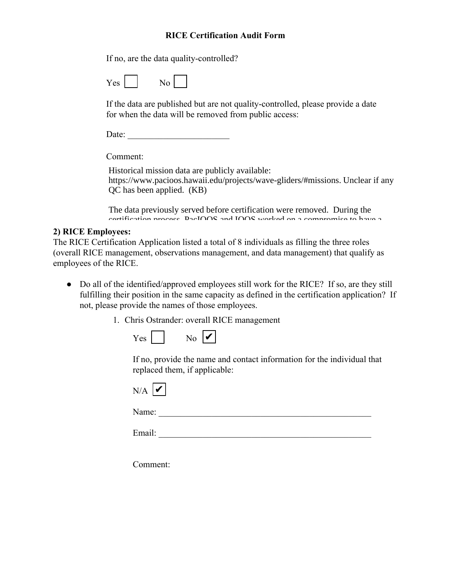If no, are the data quality-controlled?

If the data are published but are not quality-controlled, please provide a date for when the data will be removed from public access:

Date:

Comment:

Historical mission data are publicly available: https://www.pacioos.hawaii.edu/projects/wave-gliders/#missions. Unclear if any QC has been applied. (KB)

The data previously served before certification were removed. During the certification process, PacIOOS and IOOS worked on a compromise to have a

#### **2) RICE Employees:** projects page with screenshots of former Wave Glider runs. Please see attached runs. Please see attached runs. Please see attached runs. Please see attached runs. Please see attached runs. Please see attached runs. Please

The RICE Certification Application listed a total of 8 individuals as filling the three roles (overall RICE management, observations management, and data management) that qualify as employees of the RICE.

- Do all of the identified/approved employees still work for the RICE? If so, are they still fulfilling their position in the same capacity as defined in the certification application? If not, please provide the names of those employees.
	- 1. Chris Ostrander: overall RICE management

| Y AS. | vo | п<br>V |
|-------|----|--------|
|-------|----|--------|

If no, provide the name and contact information for the individual that replaced them, if applicable:

| ↘<br>v<br>_ |  |
|-------------|--|
|             |  |

Name: \_\_\_\_\_\_\_\_\_\_\_\_\_\_\_\_\_\_\_\_\_\_\_\_\_\_\_\_\_\_\_\_\_\_\_\_\_\_\_\_\_\_\_\_\_\_\_\_

Email: \_\_\_\_\_\_\_\_\_\_\_\_\_\_\_\_\_\_\_\_\_\_\_\_\_\_\_\_\_\_\_\_\_\_\_\_\_\_\_\_\_\_\_\_\_\_\_\_

Comment: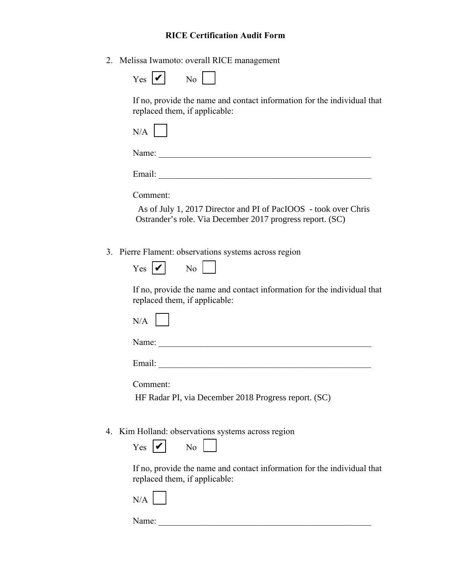2. Melissa Iwamoto: overall RICE management

If no, provide the name and contact information for the individual that replaced them, if applicable:

Name: \_\_\_\_\_\_\_\_\_\_\_\_\_\_\_\_\_\_\_\_\_\_\_\_\_\_\_\_\_\_\_\_\_\_\_\_\_\_\_\_\_\_\_\_\_\_\_\_

Email: \_\_\_\_\_\_\_\_\_\_\_\_\_\_\_\_\_\_\_\_\_\_\_\_\_\_\_\_\_\_\_\_\_\_\_\_\_\_\_\_\_\_\_\_\_\_\_\_

Comment:

 As of July 1, 2017 Director and PI of PacIOOS - took over Chris Ostrander's role. Via December 2017 progress report. (SC)

3. Pierre Flament: observations systems across region

| Y es | м | ง∩ |
|------|---|----|
|------|---|----|

If no, provide the name and contact information for the individual that replaced them, if applicable:

Name:

Email: \_\_\_\_\_\_\_\_\_\_\_\_\_\_\_\_\_\_\_\_\_\_\_\_\_\_\_\_\_\_\_\_\_\_\_\_\_\_\_\_\_\_\_\_\_\_\_\_

Comment:

HF Radar PI, via December 2018 Progress report. (SC)

4. Kim Holland: observations systems across region

| $\sim$ | u | O |
|--------|---|---|
|--------|---|---|



If no, provide the name and contact information for the individual that replaced them, if applicable:

 $N/A$ 

Name: \_\_\_\_\_\_\_\_\_\_\_\_\_\_\_\_\_\_\_\_\_\_\_\_\_\_\_\_\_\_\_\_\_\_\_\_\_\_\_\_\_\_\_\_\_\_\_\_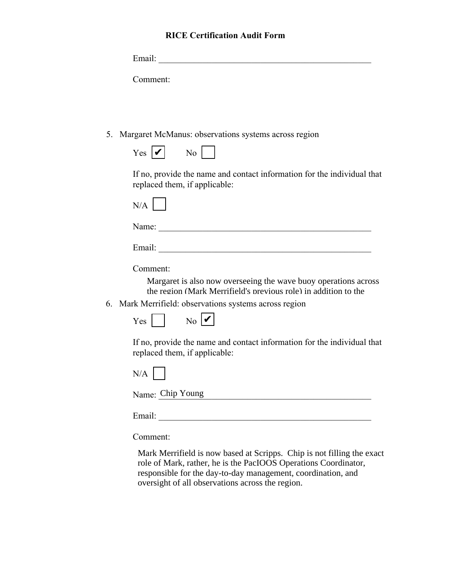| Email:   |  |  |
|----------|--|--|
|          |  |  |
| Comment: |  |  |

5. Margaret McManus: observations systems across region

| $ -$<br>- es | u | NO |  |
|--------------|---|----|--|
|--------------|---|----|--|

If no, provide the name and contact information for the individual that replaced them, if applicable:

|--|

Name: \_\_\_\_\_\_\_\_\_\_\_\_\_\_\_\_\_\_\_\_\_\_\_\_\_\_\_\_\_\_\_\_\_\_\_\_\_\_\_\_\_\_\_\_\_\_\_\_

Email: \_\_\_\_\_\_\_\_\_\_\_\_\_\_\_\_\_\_\_\_\_\_\_\_\_\_\_\_\_\_\_\_\_\_\_\_\_\_\_\_\_\_\_\_\_\_\_\_

Comment:

Margaret is also now overseeing the wave buoy operations across the region (Mark Merrifield's previous role) in addition to the

6. Mark Merrifield: observations systems across region



If no, provide the name and contact information for the individual that replaced them, if applicable:

|--|--|

Name: Chip Young

Email: \_\_\_\_\_\_\_\_\_\_\_\_\_\_\_\_\_\_\_\_\_\_\_\_\_\_\_\_\_\_\_\_\_\_\_\_\_\_\_\_\_\_\_\_\_\_\_\_

Comment:

Mark Merrifield is now based at Scripps. Chip is not filling the exact role of Mark, rather, he is the PacIOOS Operations Coordinator, responsible for the day-to-day management, coordination, and oversight of all observations across the region.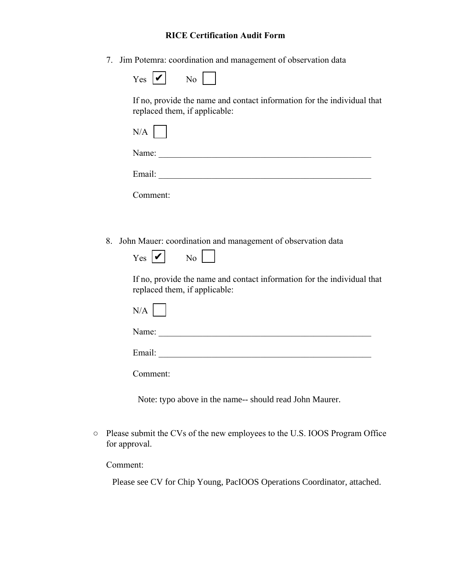7. Jim Potemra: coordination and management of observation data

If no, provide the name and contact information for the individual that replaced them, if applicable:

Name: \_\_\_\_\_\_\_\_\_\_\_\_\_\_\_\_\_\_\_\_\_\_\_\_\_\_\_\_\_\_\_\_\_\_\_\_\_\_\_\_\_\_\_\_\_\_\_\_

Email: \_\_\_\_\_\_\_\_\_\_\_\_\_\_\_\_\_\_\_\_\_\_\_\_\_\_\_\_\_\_\_\_\_\_\_\_\_\_\_\_\_\_\_\_\_\_\_\_

Comment:

8. John Mauer: coordination and management of observation data

| T ES. | n<br>u | N۵ |
|-------|--------|----|
|-------|--------|----|

If no, provide the name and contact information for the individual that replaced them, if applicable:

Email:

Comment:

Note: typo above in the name-- should read John Maurer.

○ Please submit the CVs of the new employees to the U.S. IOOS Program Office for approval.

Comment:

Please see CV for Chip Young, PacIOOS Operations Coordinator, attached.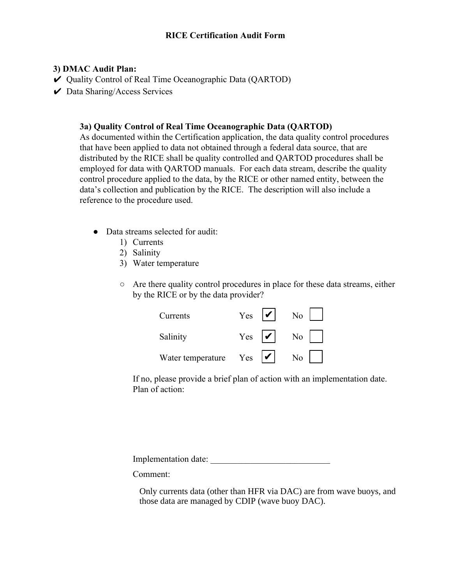## **3) DMAC Audit Plan:**

- ✔ Quality Control of Real Time Oceanographic Data (QARTOD)
- $\vee$  Data Sharing/Access Services

### **3a) Quality Control of Real Time Oceanographic Data (QARTOD)**

As documented within the Certification application, the data quality control procedures that have been applied to data not obtained through a federal data source, that are distributed by the RICE shall be quality controlled and QARTOD procedures shall be employed for data with QARTOD manuals. For each data stream, describe the quality control procedure applied to the data, by the RICE or other named entity, between the data's collection and publication by the RICE. The description will also include a reference to the procedure used.

- Data streams selected for audit:
	- 1) Currents
	- 2) Salinity
	- 3) Water temperature
	- Are there quality control procedures in place for these data streams, either by the RICE or by the data provider?

| Currents          | Yes | N <sub>o</sub> |  |
|-------------------|-----|----------------|--|
| Salinity          | Yes | No             |  |
| Water temperature | Yes | N <sub>o</sub> |  |

If no, please provide a brief plan of action with an implementation date. Plan of action:

Implementation date:

Comment:

Only currents data (other than HFR via DAC) are from wave buoys, and those data are managed by CDIP (wave buoy DAC).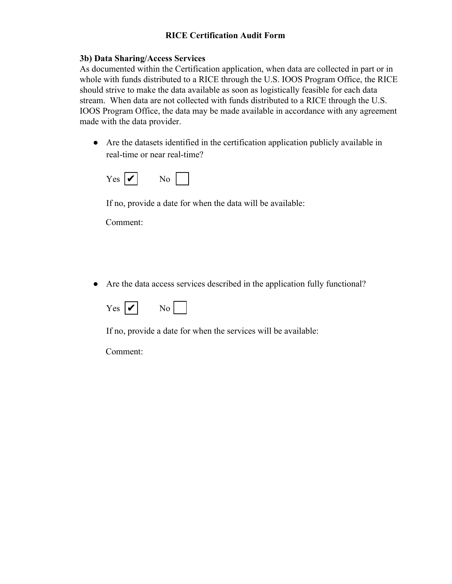## **3b) Data Sharing/Access Services**

As documented within the Certification application, when data are collected in part or in whole with funds distributed to a RICE through the U.S. IOOS Program Office, the RICE should strive to make the data available as soon as logistically feasible for each data stream. When data are not collected with funds distributed to a RICE through the U.S. IOOS Program Office, the data may be made available in accordance with any agreement made with the data provider.

● Are the datasets identified in the certification application publicly available in real-time or near real-time?



If no, provide a date for when the data will be available:

Comment:

● Are the data access services described in the application fully functional?



If no, provide a date for when the services will be available:

Comment: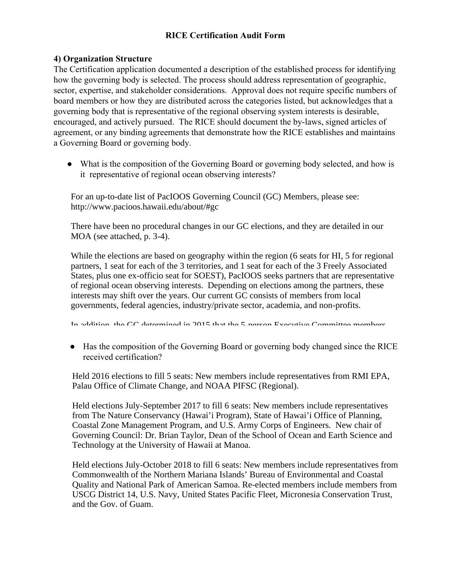#### **4) Organization Structure**

The Certification application documented a description of the established process for identifying how the governing body is selected. The process should address representation of geographic, sector, expertise, and stakeholder considerations. Approval does not require specific numbers of board members or how they are distributed across the categories listed, but acknowledges that a governing body that is representative of the regional observing system interests is desirable, encouraged, and actively pursued. The RICE should document the by-laws, signed articles of agreement, or any binding agreements that demonstrate how the RICE establishes and maintains a Governing Board or governing body.

• What is the composition of the Governing Board or governing body selected, and how is it representative of regional ocean observing interests?

For an up-to-date list of PacIOOS Governing Council (GC) Members, please see: http://www.pacioos.hawaii.edu/about/#gc

There have been no procedural changes in our GC elections, and they are detailed in our MOA (see attached, p. 3-4).

While the elections are based on geography within the region (6 seats for HI, 5 for regional partners, 1 seat for each of the 3 territories, and 1 seat for each of the 3 Freely Associated States, plus one ex-officio seat for SOEST), PacIOOS seeks partners that are representative of regional ocean observing interests. Depending on elections among the partners, these interests may shift over the years. Our current GC consists of members from local governments, federal agencies, industry/private sector, academia, and non-profits.

In addition, the GC determined in  $2015$  that the 5-person Executive Committee members

• Has the composition of the Governing Board or governing body changed since the RICE received certification?

Held 2016 elections to fill 5 seats: New members include representatives from RMI EPA, Palau Office of Climate Change, and NOAA PIFSC (Regional).

Held elections July-September 2017 to fill 6 seats: New members include representatives from The Nature Conservancy (Hawai'i Program), State of Hawai'i Office of Planning, Coastal Zone Management Program, and U.S. Army Corps of Engineers. New chair of Governing Council: Dr. Brian Taylor, Dean of the School of Ocean and Earth Science and Technology at the University of Hawaii at Manoa.

Held elections July-October 2018 to fill 6 seats: New members include representatives from Commonwealth of the Northern Mariana Islands' Bureau of Environmental and Coastal Quality and National Park of American Samoa. Re-elected members include members from USCG District 14, U.S. Navy, United States Pacific Fleet, Micronesia Conservation Trust, and the Gov. of Guam.